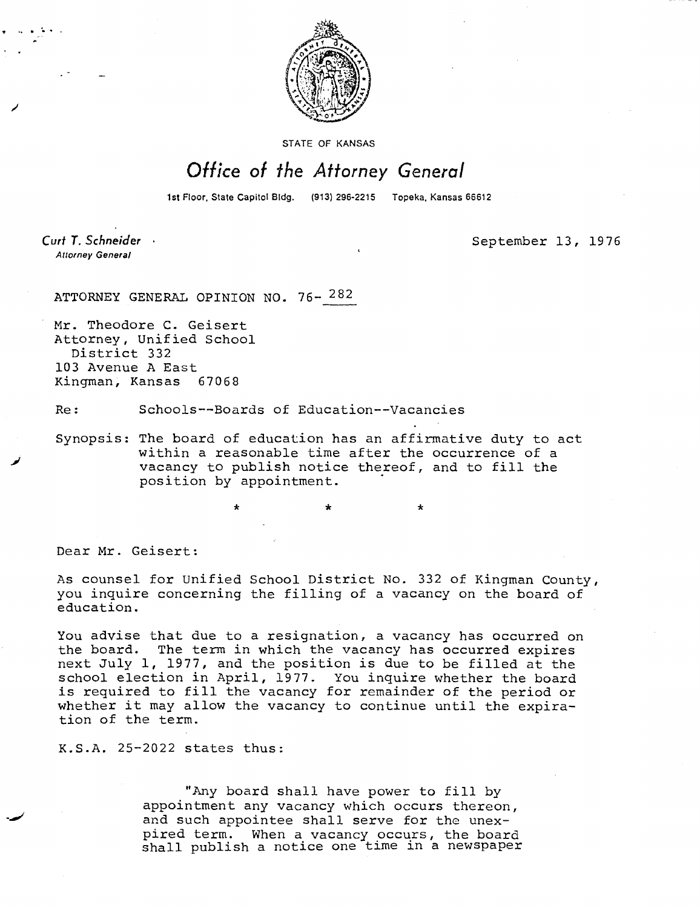

STATE OF KANSAS

## Office of the Attorney General

1st Floor, State Capitol Bidg. (913) 296-2215 Topeka, Kansas 66612

Curt T. Schneider **Attorney General** 

September 13, 1976

ATTORNEY GENERAL OPINION NO. 76- 282

Mr. Theodore C. Geisert Attorney, Unified School District 332 103 Avenue A East Kingman, Kansas 67068

Re: Schools--Boards of Education--Vacancies

\*

Synopsis: The board of education has an affirmative duty to act within a reasonable time after the occurrence of a vacancy to publish notice thereof, and to fill the position by appointment.

Dear Mr. Geisert:

As counsel for Unified School District No. 332 of Kingman County, you inquire concerning the filling of a vacancy on the board of education.

You advise that due to a resignation, a vacancy has occurred on the board. The term in which the vacancy has occurred expires next July 1, 1977, and the position is due to be filled at the school election in April, 1977. You inquire whether the board is required to fill the vacancy for remainder of the period or whether it may allow the vacancy to continue until the expiration of the term.

K.S.A. 25-2022 states thus:

"Any board shall have power to fill by appointment any vacancy which occurs thereon, and such appointee shall serve for the unexpired term. When a vacancy occurs, the board shall publish a notice one time in a newspaper